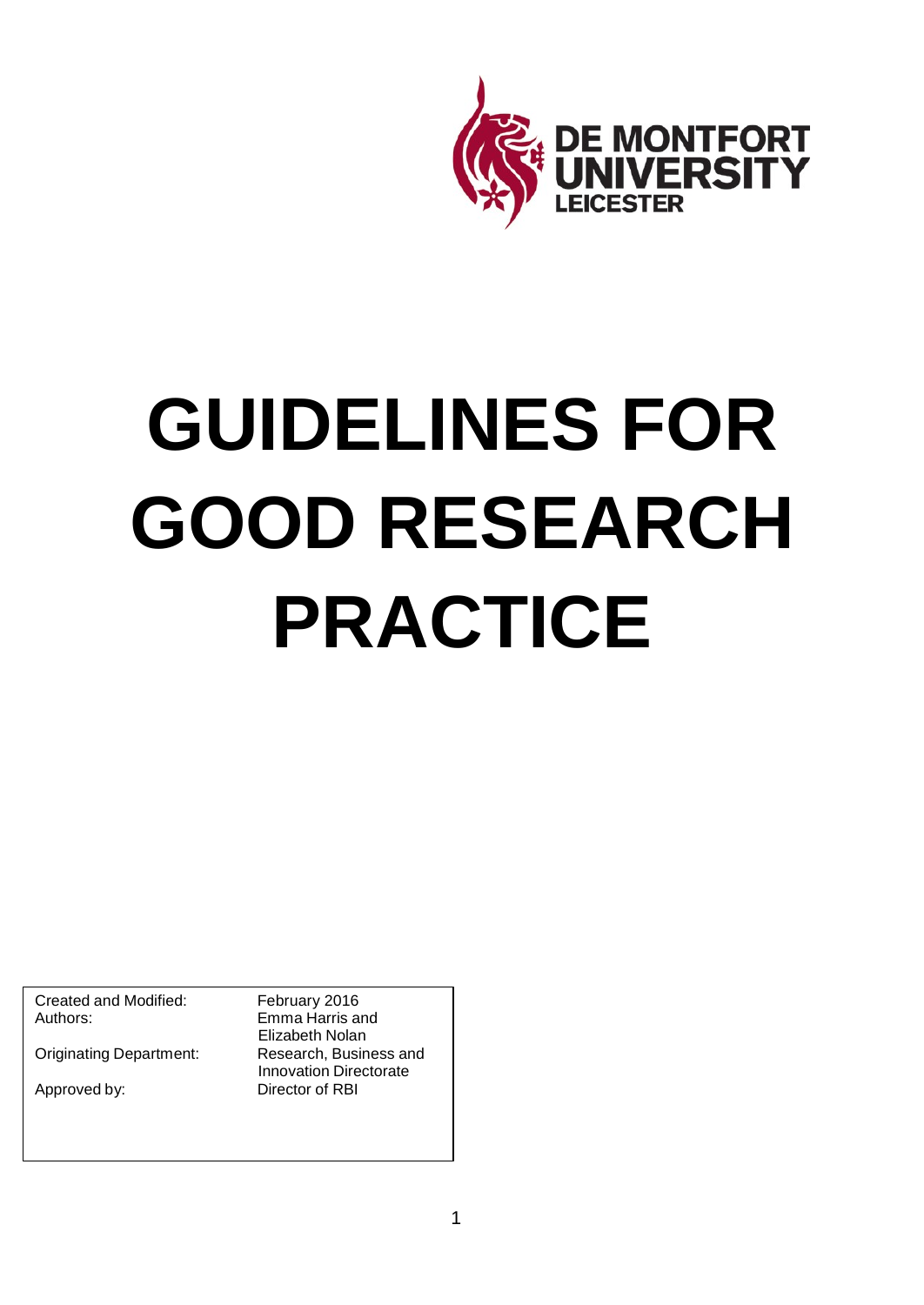

# **GUIDELINES FOR GOOD RESEARCH PRACTICE**

Created and Modified: February 2016<br>
Authors: Emma Harris a

**Originating Department:** 

Emma Harris and Elizabeth Nolan<br>Research, Business and Innovation Directorate Approved by: Director of RBI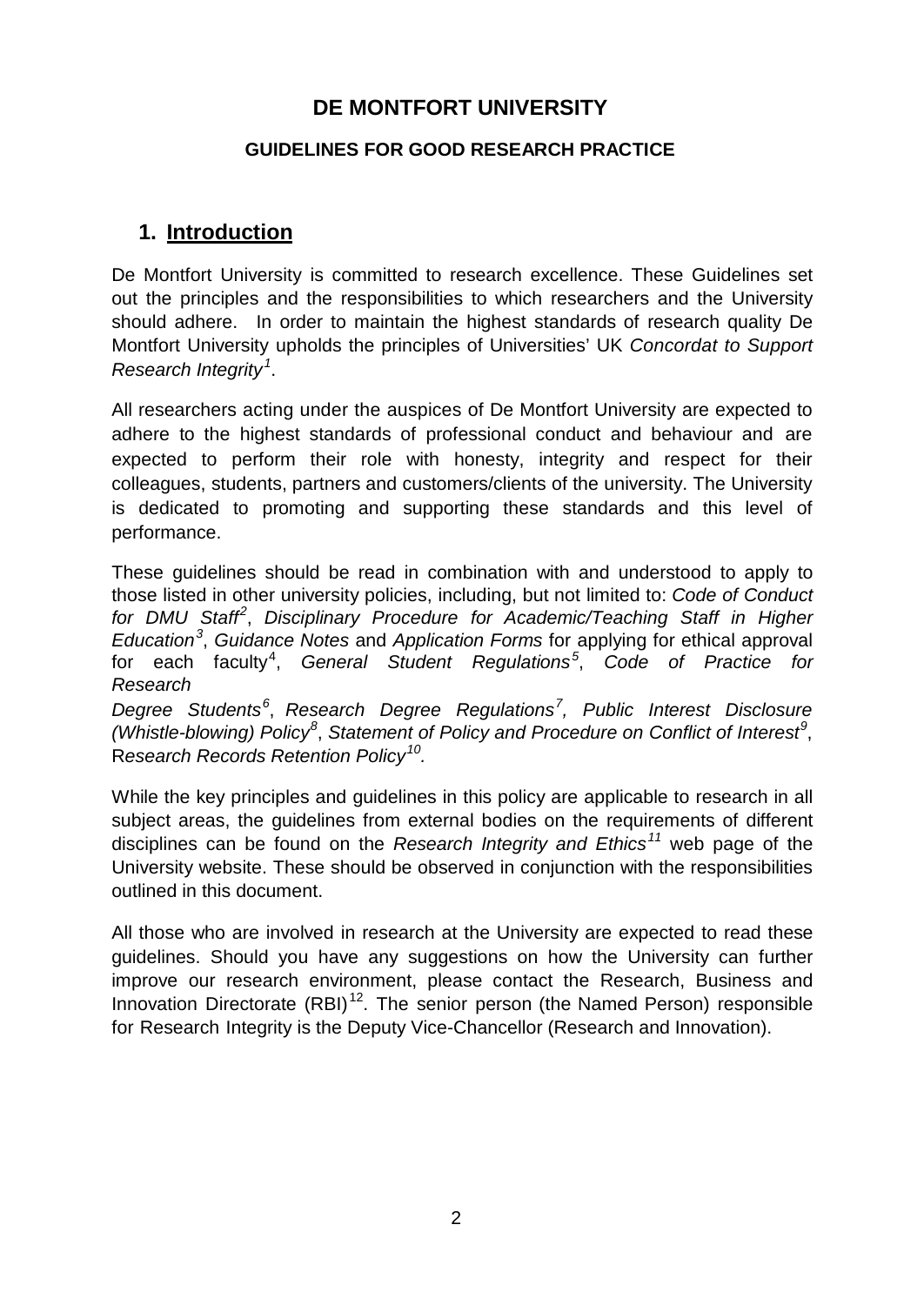# **DE MONTFORT UNIVERSITY**

#### **GUIDELINES FOR GOOD RESEARCH PRACTICE**

# **1. Introduction**

De Montfort University is committed to research excellence. These Guidelines set out the principles and the responsibilities to which researchers and the University should adhere. In order to maintain the highest standards of research quality De Montfort University upholds the principles of Universities' UK *Concordat to Support Research Integrity[1](#page-12-0)* .

All researchers acting under the auspices of De Montfort University are expected to adhere to the highest standards of professional conduct and behaviour and are expected to perform their role with honesty, integrity and respect for their colleagues, students, partners and customers/clients of the university. The University is dedicated to promoting and supporting these standards and this level of performance.

These guidelines should be read in combination with and understood to apply to those listed in other university policies, including, but not limited to: *Code of Conduct for DMU Staff [2](#page-12-1)* , *Disciplinary Procedure for Academic/Teaching Staff in Higher Education[3](#page-12-2)* , *Guidance Notes* and *Application Forms* for applying for ethical approval for each faculty[4](#page-12-3) , *General Student Regulations[5](#page-12-4)* , *Code of Practice for Research*

*Degree Students[6](#page-12-5)* , *Research Degree Regulations[7](#page-12-6) , Public Interest Disclosure (Whistle-blowing) Policy[8](#page-12-7)* , *Statement of Policy and Procedure on Conflict of Interest [9](#page-12-8)* , R*esearch Records Retention Policy[10](#page-12-9).*

While the key principles and guidelines in this policy are applicable to research in all subject areas, the guidelines from external bodies on the requirements of different disciplines can be found on the *Research Integrity and Ethics[11](#page-12-10)* web page of the University website. These should be observed in conjunction with the responsibilities outlined in this document.

All those who are involved in research at the University are expected to read these guidelines. Should you have any suggestions on how the University can further improve our research environment, please contact the Research, Business and Innovation Directorate (RBI)<sup>[12](#page-12-11)</sup>. The senior person (the Named Person) responsible for Research Integrity is the Deputy Vice-Chancellor (Research and Innovation).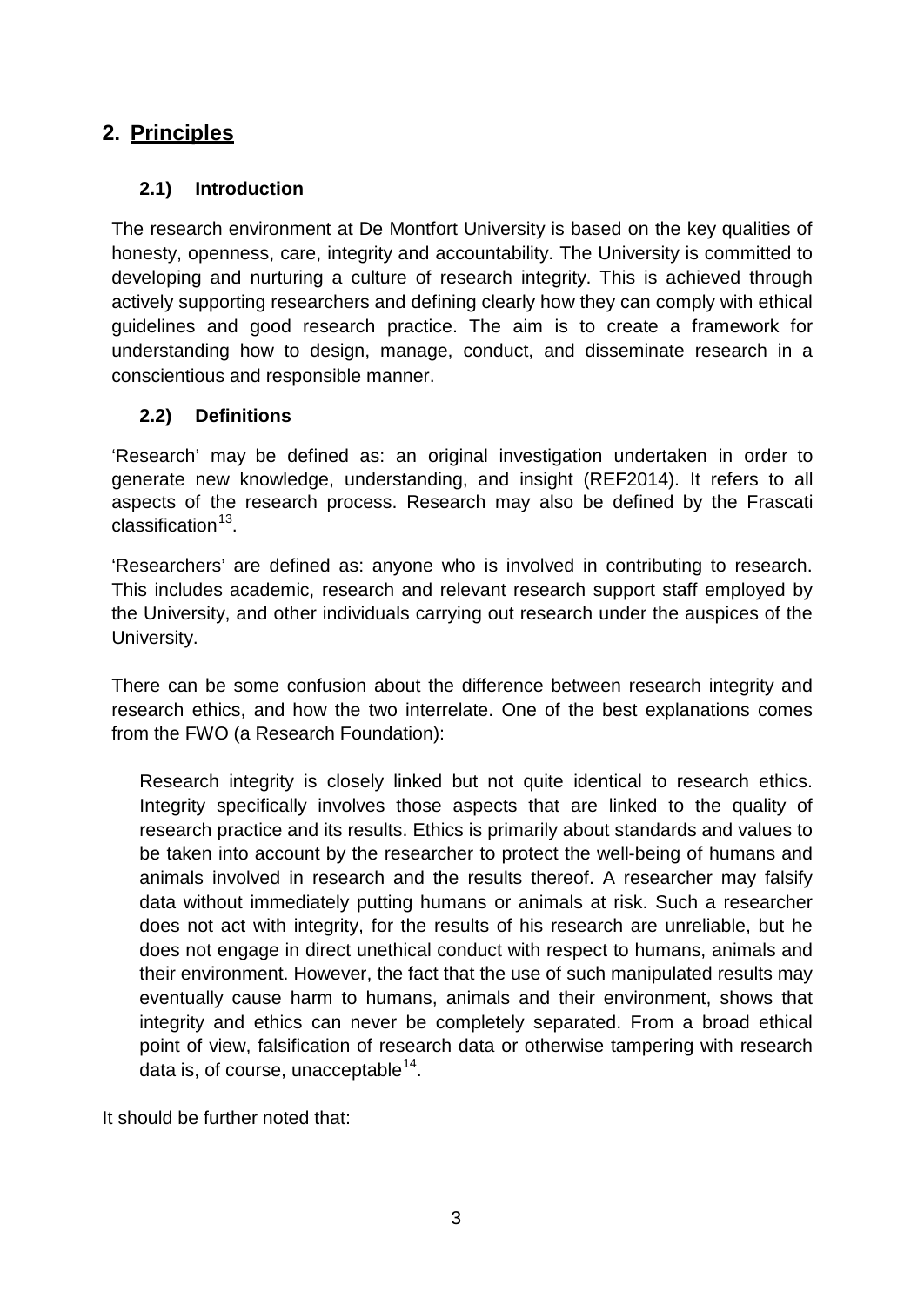# **2. Principles**

#### **2.1) Introduction**

The research environment at De Montfort University is based on the key qualities of honesty, openness, care, integrity and accountability. The University is committed to developing and nurturing a culture of research integrity. This is achieved through actively supporting researchers and defining clearly how they can comply with ethical guidelines and good research practice. The aim is to create a framework for understanding how to design, manage, conduct, and disseminate research in a conscientious and responsible manner.

#### **2.2) Definitions**

'Research' may be defined as: an original investigation undertaken in order to generate new knowledge, understanding, and insight (REF2014). It refers to all aspects of the research process. Research may also be defined by the Frascati classification $13$ .

'Researchers' are defined as: anyone who is involved in contributing to research. This includes academic, research and relevant research support staff employed by the University, and other individuals carrying out research under the auspices of the University.

There can be some confusion about the difference between research integrity and research ethics, and how the two interrelate. One of the best explanations comes from the FWO (a Research Foundation):

Research integrity is closely linked but not quite identical to research ethics. Integrity specifically involves those aspects that are linked to the quality of research practice and its results. Ethics is primarily about standards and values to be taken into account by the researcher to protect the well-being of humans and animals involved in research and the results thereof. A researcher may falsify data without immediately putting humans or animals at risk. Such a researcher does not act with integrity, for the results of his research are unreliable, but he does not engage in direct unethical conduct with respect to humans, animals and their environment. However, the fact that the use of such manipulated results may eventually cause harm to humans, animals and their environment, shows that integrity and ethics can never be completely separated. From a broad ethical point of view, falsification of research data or otherwise tampering with research data is, of course, unacceptable $14$ .

It should be further noted that: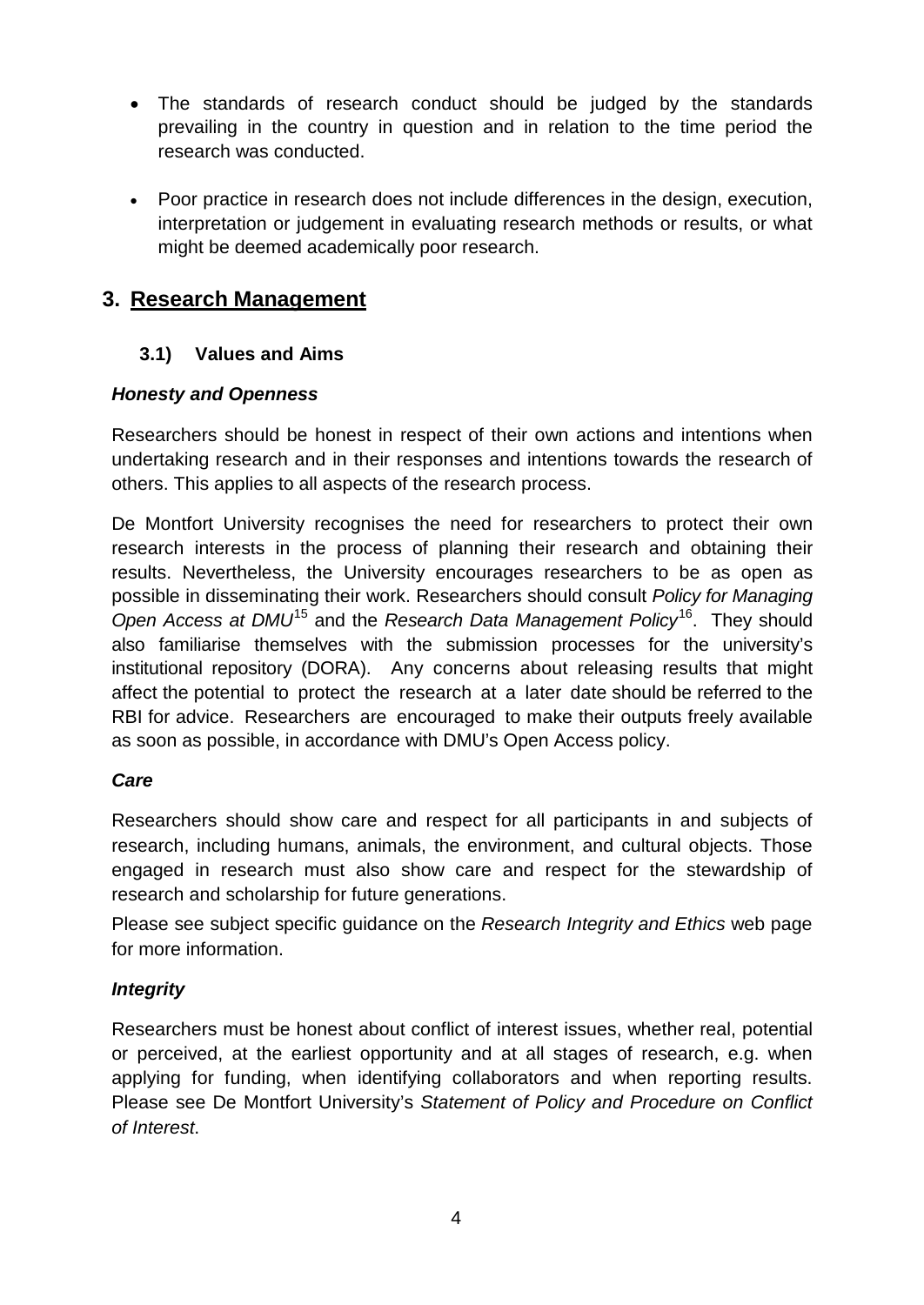- The standards of research conduct should be judged by the standards prevailing in the country in question and in relation to the time period the research was conducted.
- Poor practice in research does not include differences in the design, execution, interpretation or judgement in evaluating research methods or results, or what might be deemed academically poor research.

# **3. Research Management**

## **3.1) Values and Aims**

## *Honesty and Openness*

Researchers should be honest in respect of their own actions and intentions when undertaking research and in their responses and intentions towards the research of others. This applies to all aspects of the research process.

De Montfort University recognises the need for researchers to protect their own research interests in the process of planning their research and obtaining their results. Nevertheless, the University encourages researchers to be as open as possible in disseminating their work. Researchers should consult *Policy for Managing Open Access at DMU*[15](#page-12-14) and the *Research Data Management Policy*[16.](#page-12-15) They should also familiarise themselves with the submission processes for the university's institutional repository (DORA). Any concerns about releasing results that might affect the potential to protect the research at a later date should be referred to the RBI for advice. Researchers are encouraged to make their outputs freely available as soon as possible, in accordance with DMU's Open Access policy.

#### *Care*

Researchers should show care and respect for all participants in and subjects of research, including humans, animals, the environment, and cultural objects. Those engaged in research must also show care and respect for the stewardship of research and scholarship for future generations.

Please see subject specific guidance on the *Research Integrity and Ethics* web page for more information.

## *Integrity*

Researchers must be honest about conflict of interest issues, whether real, potential or perceived, at the earliest opportunity and at all stages of research, e.g. when applying for funding, when identifying collaborators and when reporting results. Please see De Montfort University's *Statement of Policy and Procedure on Conflict of Interest*.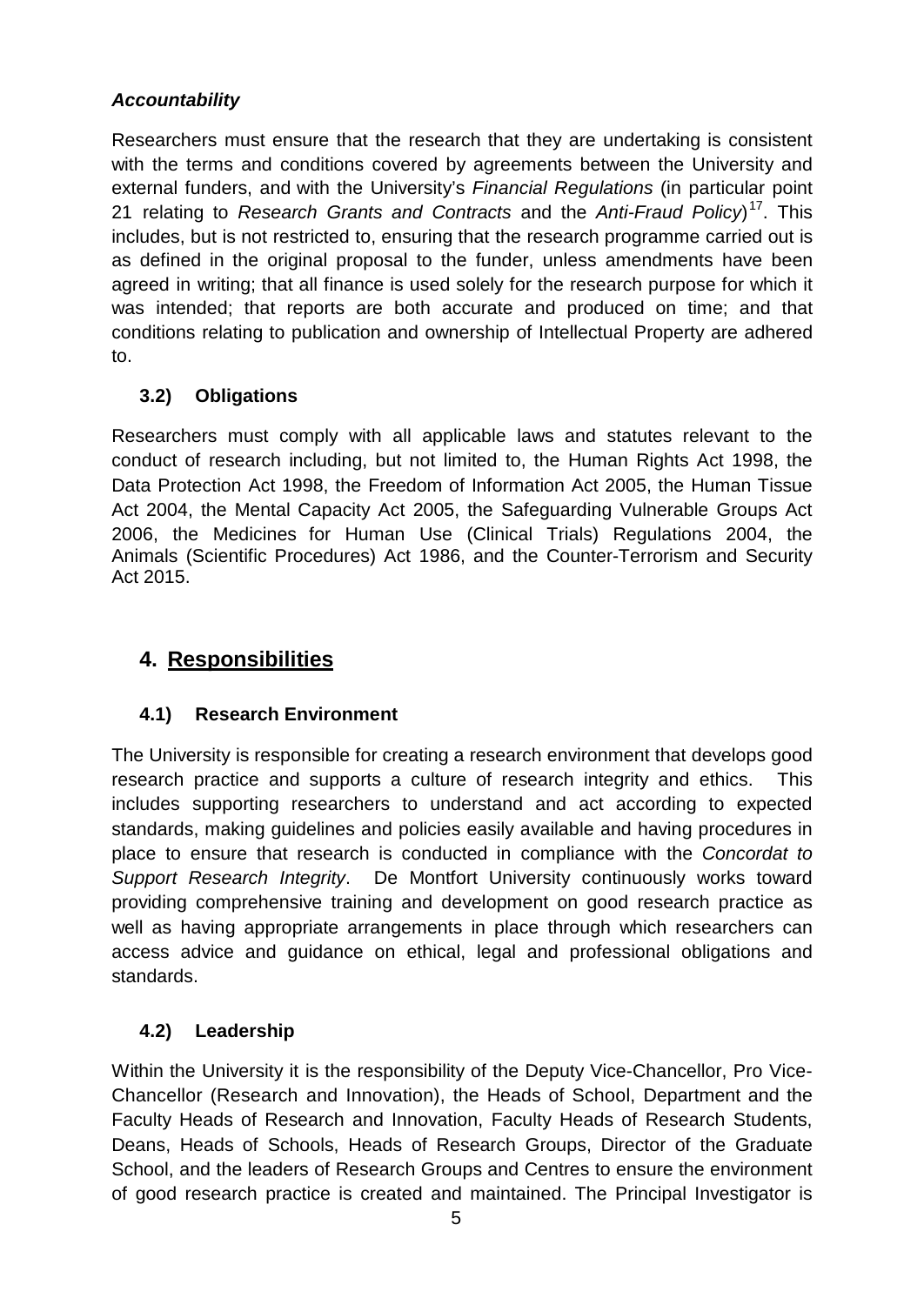## *Accountability*

Researchers must ensure that the research that they are undertaking is consistent with the terms and conditions covered by agreements between the University and external funders, and with the University's *Financial Regulations* (in particular point 21 relating to *Research Grants and Contracts* and the *Anti-Fraud Policy*) [17](#page-12-16). This includes, but is not restricted to, ensuring that the research programme carried out is as defined in the original proposal to the funder, unless amendments have been agreed in writing; that all finance is used solely for the research purpose for which it was intended; that reports are both accurate and produced on time; and that conditions relating to publication and ownership of Intellectual Property are adhered to.

#### **3.2) Obligations**

Researchers must comply with all applicable laws and statutes relevant to the conduct of research including, but not limited to, the Human Rights Act 1998, the Data Protection Act 1998, the Freedom of Information Act 2005, the Human Tissue Act 2004, the Mental Capacity Act 2005, the Safeguarding Vulnerable Groups Act 2006, the Medicines for Human Use (Clinical Trials) Regulations 2004, the Animals (Scientific Procedures) Act 1986, and the Counter-Terrorism and Security Act 2015.

# **4. Responsibilities**

#### **4.1) Research Environment**

The University is responsible for creating a research environment that develops good research practice and supports a culture of research integrity and ethics. This includes supporting researchers to understand and act according to expected standards, making guidelines and policies easily available and having procedures in place to ensure that research is conducted in compliance with the *Concordat to Support Research Integrity*. De Montfort University continuously works toward providing comprehensive training and development on good research practice as well as having appropriate arrangements in place through which researchers can access advice and guidance on ethical, legal and professional obligations and standards.

## **4.2) Leadership**

Within the University it is the responsibility of the Deputy Vice-Chancellor, Pro Vice-Chancellor (Research and Innovation), the Heads of School, Department and the Faculty Heads of Research and Innovation, Faculty Heads of Research Students, Deans, Heads of Schools, Heads of Research Groups, Director of the Graduate School, and the leaders of Research Groups and Centres to ensure the environment of good research practice is created and maintained. The Principal Investigator is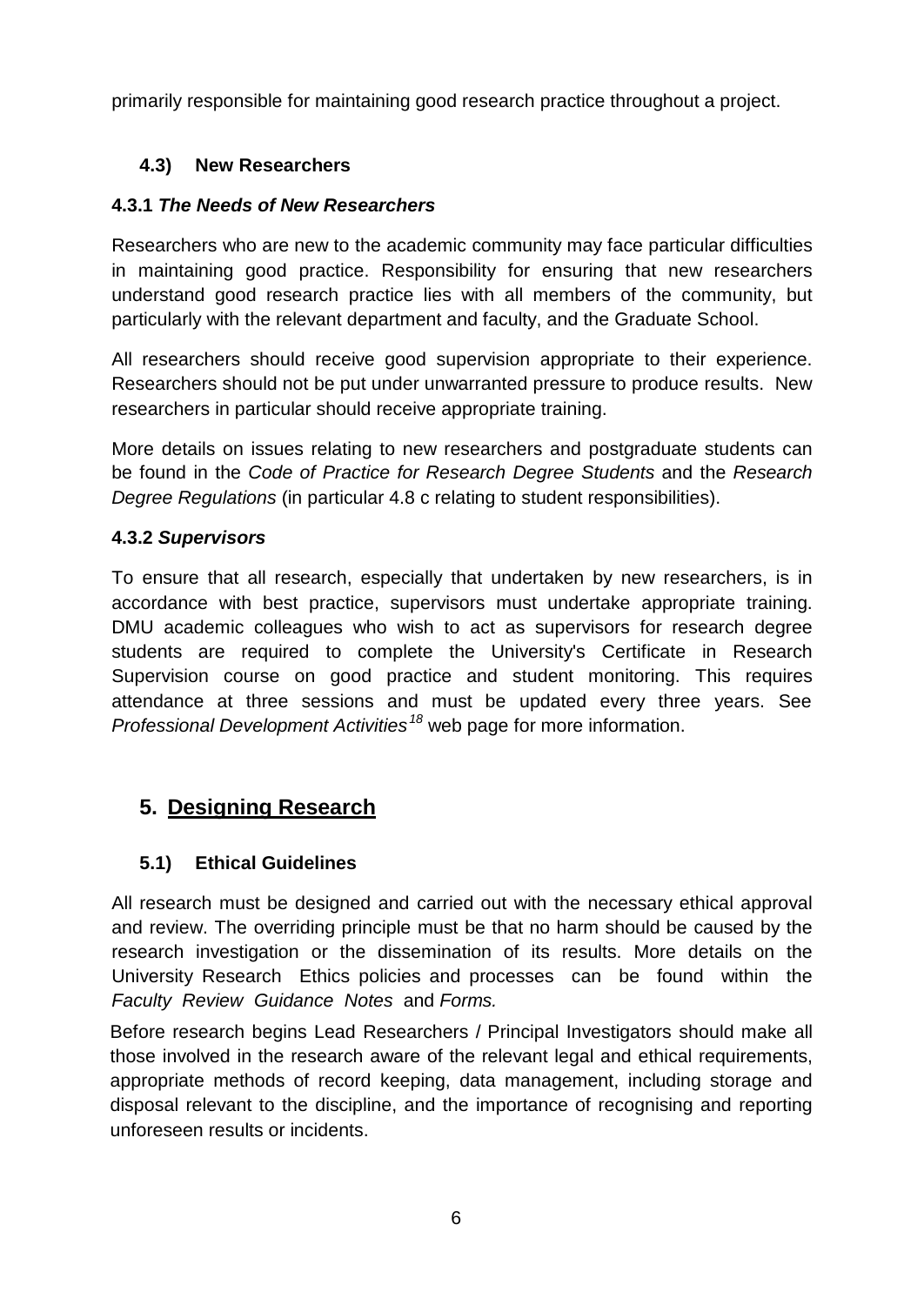primarily responsible for maintaining good research practice throughout a project.

## **4.3) New Researchers**

## **4.3.1** *The Needs of New Researchers*

Researchers who are new to the academic community may face particular difficulties in maintaining good practice. Responsibility for ensuring that new researchers understand good research practice lies with all members of the community, but particularly with the relevant department and faculty, and the Graduate School.

All researchers should receive good supervision appropriate to their experience. Researchers should not be put under unwarranted pressure to produce results. New researchers in particular should receive appropriate training.

More details on issues relating to new researchers and postgraduate students can be found in the *Code of Practice for Research Degree Students* and the *Research Degree Regulations* (in particular 4.8 c relating to student responsibilities).

#### **4.3.2** *Supervisors*

To ensure that all research, especially that undertaken by new researchers, is in accordance with best practice, supervisors must undertake appropriate training. DMU academic colleagues who wish to act as supervisors for research degree students are required to complete the University's Certificate in Research Supervision course on good practice and student monitoring. This requires attendance at three sessions and must be updated every three years. See *Professional Development Activities[18](#page-12-17)* web page for more information.

# **5. Designing Research**

## **5.1) Ethical Guidelines**

All research must be designed and carried out with the necessary ethical approval and review. The overriding principle must be that no harm should be caused by the research investigation or the dissemination of its results. More details on the University Research Ethics policies and processes can be found within the *Faculty Review Guidance Notes* and *Forms.*

Before research begins Lead Researchers / Principal Investigators should make all those involved in the research aware of the relevant legal and ethical requirements, appropriate methods of record keeping, data management, including storage and disposal relevant to the discipline, and the importance of recognising and reporting unforeseen results or incidents.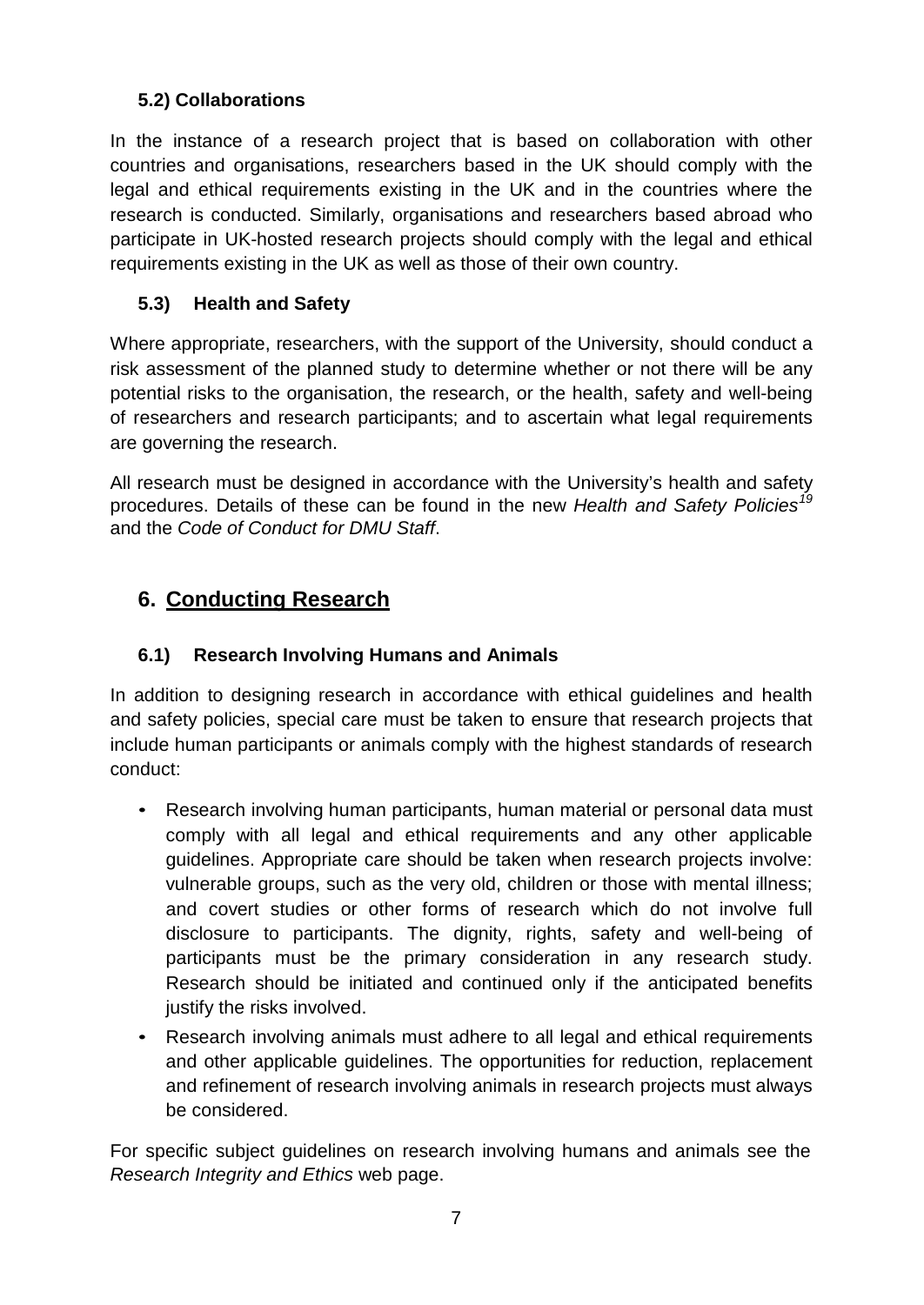## **5.2) Collaborations**

In the instance of a research project that is based on collaboration with other countries and organisations, researchers based in the UK should comply with the legal and ethical requirements existing in the UK and in the countries where the research is conducted. Similarly, organisations and researchers based abroad who participate in UK-hosted research projects should comply with the legal and ethical requirements existing in the UK as well as those of their own country.

# **5.3) Health and Safety**

Where appropriate, researchers, with the support of the University, should conduct a risk assessment of the planned study to determine whether or not there will be any potential risks to the organisation, the research, or the health, safety and well-being of researchers and research participants; and to ascertain what legal requirements are governing the research.

All research must be designed in accordance with the University's health and safety procedures. Details of these can be found in the new *Health and Safety Policies[19](#page-12-18)* and the *Code of Conduct for DMU Staff*.

# **6. Conducting Research**

# **6.1) Research Involving Humans and Animals**

In addition to designing research in accordance with ethical guidelines and health and safety policies, special care must be taken to ensure that research projects that include human participants or animals comply with the highest standards of research conduct:

- Research involving human participants, human material or personal data must comply with all legal and ethical requirements and any other applicable guidelines. Appropriate care should be taken when research projects involve: vulnerable groups, such as the very old, children or those with mental illness; and covert studies or other forms of research which do not involve full disclosure to participants. The dignity, rights, safety and well-being of participants must be the primary consideration in any research study. Research should be initiated and continued only if the anticipated benefits justify the risks involved.
- Research involving animals must adhere to all legal and ethical requirements and other applicable guidelines. The opportunities for reduction, replacement and refinement of research involving animals in research projects must always be considered.

For specific subject guidelines on research involving humans and animals see the *Research Integrity and Ethics* web page.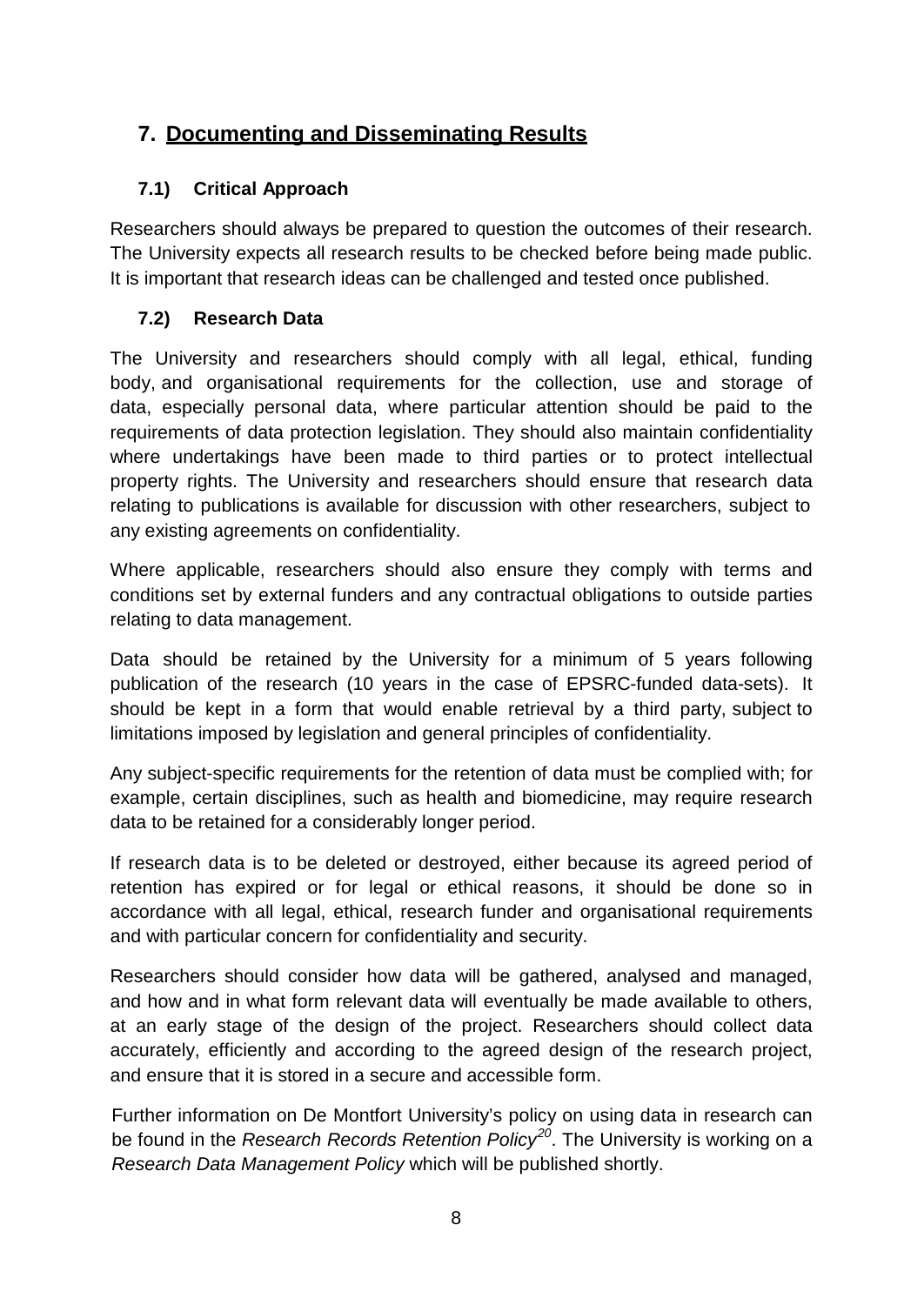# **7. Documenting and Disseminating Results**

## **7.1) Critical Approach**

Researchers should always be prepared to question the outcomes of their research. The University expects all research results to be checked before being made public. It is important that research ideas can be challenged and tested once published.

## **7.2) Research Data**

The University and researchers should comply with all legal, ethical, funding body, and organisational requirements for the collection, use and storage of data, especially personal data, where particular attention should be paid to the requirements of data protection legislation. They should also maintain confidentiality where undertakings have been made to third parties or to protect intellectual property rights. The University and researchers should ensure that research data relating to publications is available for discussion with other researchers, subject to any existing agreements on confidentiality.

Where applicable, researchers should also ensure they comply with terms and conditions set by external funders and any contractual obligations to outside parties relating to data management.

Data should be retained by the University for a minimum of 5 years following publication of the research (10 years in the case of EPSRC-funded data-sets). It should be kept in a form that would enable retrieval by a third party, subject to limitations imposed by legislation and general principles of confidentiality.

Any subject-specific requirements for the retention of data must be complied with; for example, certain disciplines, such as health and biomedicine, may require research data to be retained for a considerably longer period.

If research data is to be deleted or destroyed, either because its agreed period of retention has expired or for legal or ethical reasons, it should be done so in accordance with all legal, ethical, research funder and organisational requirements and with particular concern for confidentiality and security.

Researchers should consider how data will be gathered, analysed and managed, and how and in what form relevant data will eventually be made available to others, at an early stage of the design of the project. Researchers should collect data accurately, efficiently and according to the agreed design of the research project, and ensure that it is stored in a secure and accessible form.

Further information on De Montfort University's policy on using data in research can be found in the *Research Records Retention Policy[20](#page-12-19)*. The University is working on a *Research Data Management Policy* which will be published shortly.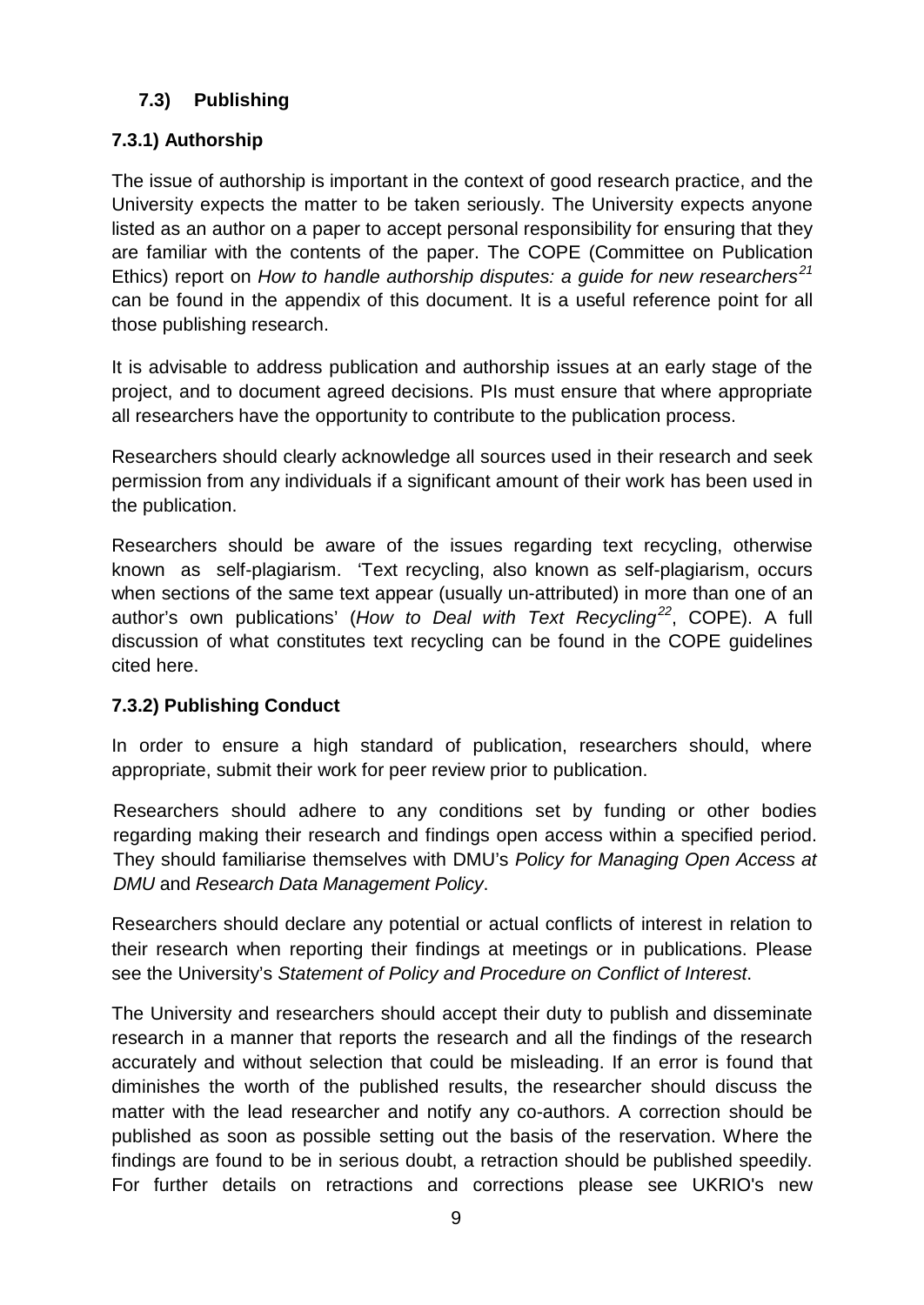## **7.3) Publishing**

## **7.3.1) Authorship**

The issue of authorship is important in the context of good research practice, and the University expects the matter to be taken seriously. The University expects anyone listed as an author on a paper to accept personal responsibility for ensuring that they are familiar with the contents of the paper. The COPE (Committee on Publication Ethics) report on *How to handle authorship disputes: a guide for new researchers[21](#page-12-20)* can be found in the appendix of this document. It is a useful reference point for all those publishing research.

It is advisable to address publication and authorship issues at an early stage of the project, and to document agreed decisions. PIs must ensure that where appropriate all researchers have the opportunity to contribute to the publication process.

Researchers should clearly acknowledge all sources used in their research and seek permission from any individuals if a significant amount of their work has been used in the publication.

Researchers should be aware of the issues regarding text recycling, otherwise known as self-plagiarism. 'Text recycling, also known as self-plagiarism, occurs when sections of the same text appear (usually un-attributed) in more than one of an author's own publications' (*How to Deal with Text Recycling[22](#page-12-21)*, COPE). A full discussion of what constitutes text recycling can be found in the COPE guidelines cited here.

## **7.3.2) Publishing Conduct**

In order to ensure a high standard of publication, researchers should, where appropriate, submit their work for peer review prior to publication.

Researchers should adhere to any conditions set by funding or other bodies regarding making their research and findings open access within a specified period. They should familiarise themselves with DMU's *Policy for Managing Open Access at DMU* and *Research Data Management Policy*.

Researchers should declare any potential or actual conflicts of interest in relation to their research when reporting their findings at meetings or in publications. Please see the University's *Statement of Policy and Procedure on Conflict of Interest*.

The University and researchers should accept their duty to publish and disseminate research in a manner that reports the research and all the findings of the research accurately and without selection that could be misleading. If an error is found that diminishes the worth of the published results, the researcher should discuss the matter with the lead researcher and notify any co-authors. A correction should be published as soon as possible setting out the basis of the reservation. Where the findings are found to be in serious doubt, a retraction should be published speedily. For further details on retractions and corrections please see UKRIO's new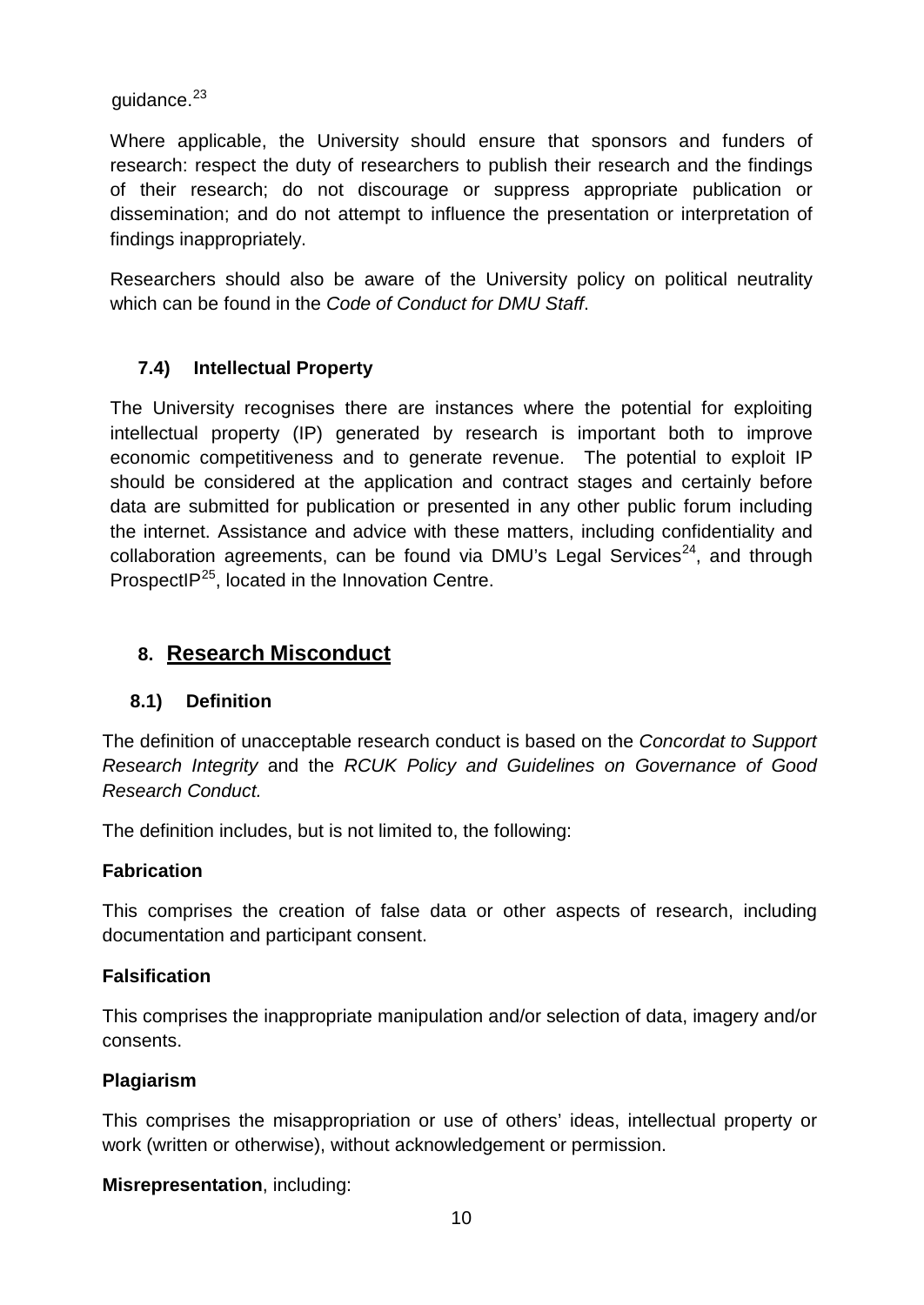guidance.<sup>[23](#page-12-22)</sup>

Where applicable, the University should ensure that sponsors and funders of research: respect the duty of researchers to publish their research and the findings of their research; do not discourage or suppress appropriate publication or dissemination; and do not attempt to influence the presentation or interpretation of findings inappropriately.

Researchers should also be aware of the University policy on political neutrality which can be found in the *Code of Conduct for DMU Staff*.

#### **7.4) Intellectual Property**

The University recognises there are instances where the potential for exploiting intellectual property (IP) generated by research is important both to improve economic competitiveness and to generate revenue. The potential to exploit IP should be considered at the application and contract stages and certainly before data are submitted for publication or presented in any other public forum including the internet. Assistance and advice with these matters, including confidentiality and collaboration agreements, can be found via DMU's Legal Services<sup>[24](#page-12-23)</sup>, and through ProspectI $P^{25}$  $P^{25}$  $P^{25}$ , located in the Innovation Centre.

## **8. Research Misconduct**

#### **8.1) Definition**

The definition of unacceptable research conduct is based on the *Concordat to Support Research Integrity* and the *RCUK Policy and Guidelines on Governance of Good Research Conduct.*

The definition includes, but is not limited to, the following:

#### **Fabrication**

This comprises the creation of false data or other aspects of research, including documentation and participant consent.

#### **Falsification**

This comprises the inappropriate manipulation and/or selection of data, imagery and/or consents.

#### **Plagiarism**

This comprises the misappropriation or use of others' ideas, intellectual property or work (written or otherwise), without acknowledgement or permission.

**Misrepresentation**, including: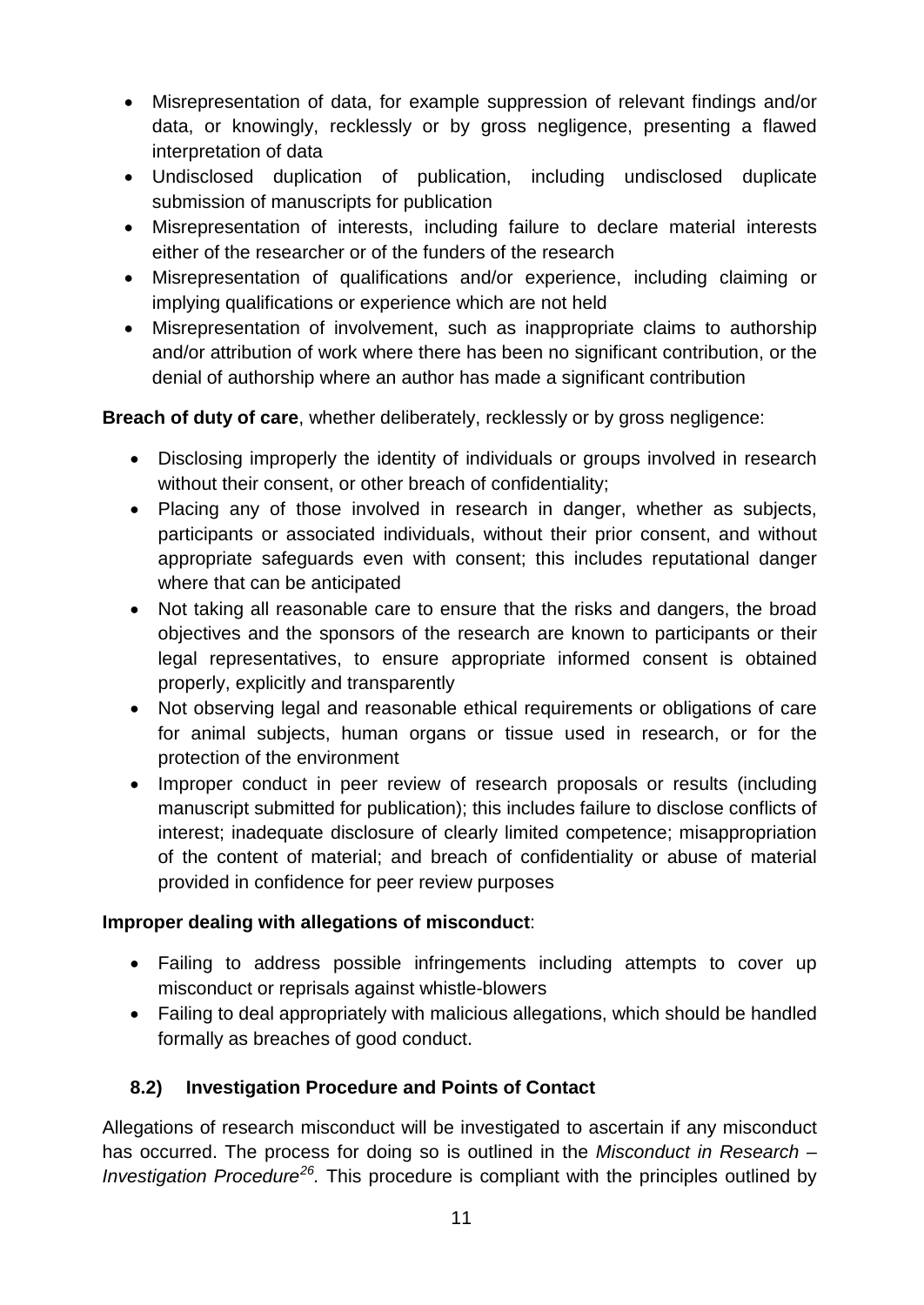- Misrepresentation of data, for example suppression of relevant findings and/or data, or knowingly, recklessly or by gross negligence, presenting a flawed interpretation of data
- Undisclosed duplication of publication, including undisclosed duplicate submission of manuscripts for publication
- Misrepresentation of interests, including failure to declare material interests either of the researcher or of the funders of the research
- Misrepresentation of qualifications and/or experience, including claiming or implying qualifications or experience which are not held
- Misrepresentation of involvement, such as inappropriate claims to authorship and/or attribution of work where there has been no significant contribution, or the denial of authorship where an author has made a significant contribution

**Breach of duty of care**, whether deliberately, recklessly or by gross negligence:

- Disclosing improperly the identity of individuals or groups involved in research without their consent, or other breach of confidentiality;
- Placing any of those involved in research in danger, whether as subjects, participants or associated individuals, without their prior consent, and without appropriate safeguards even with consent; this includes reputational danger where that can be anticipated
- Not taking all reasonable care to ensure that the risks and dangers, the broad objectives and the sponsors of the research are known to participants or their legal representatives, to ensure appropriate informed consent is obtained properly, explicitly and transparently
- Not observing legal and reasonable ethical requirements or obligations of care for animal subjects, human organs or tissue used in research, or for the protection of the environment
- Improper conduct in peer review of research proposals or results (including manuscript submitted for publication); this includes failure to disclose conflicts of interest; inadequate disclosure of clearly limited competence; misappropriation of the content of material; and breach of confidentiality or abuse of material provided in confidence for peer review purposes

## **Improper dealing with allegations of misconduct**:

- Failing to address possible infringements including attempts to cover up misconduct or reprisals against whistle-blowers
- Failing to deal appropriately with malicious allegations, which should be handled formally as breaches of good conduct.

# **8.2) Investigation Procedure and Points of Contact**

Allegations of research misconduct will be investigated to ascertain if any misconduct has occurred. The process for doing so is outlined in the *Misconduct in Research – Investigation Procedure[26.](#page-12-25)* This procedure is compliant with the principles outlined by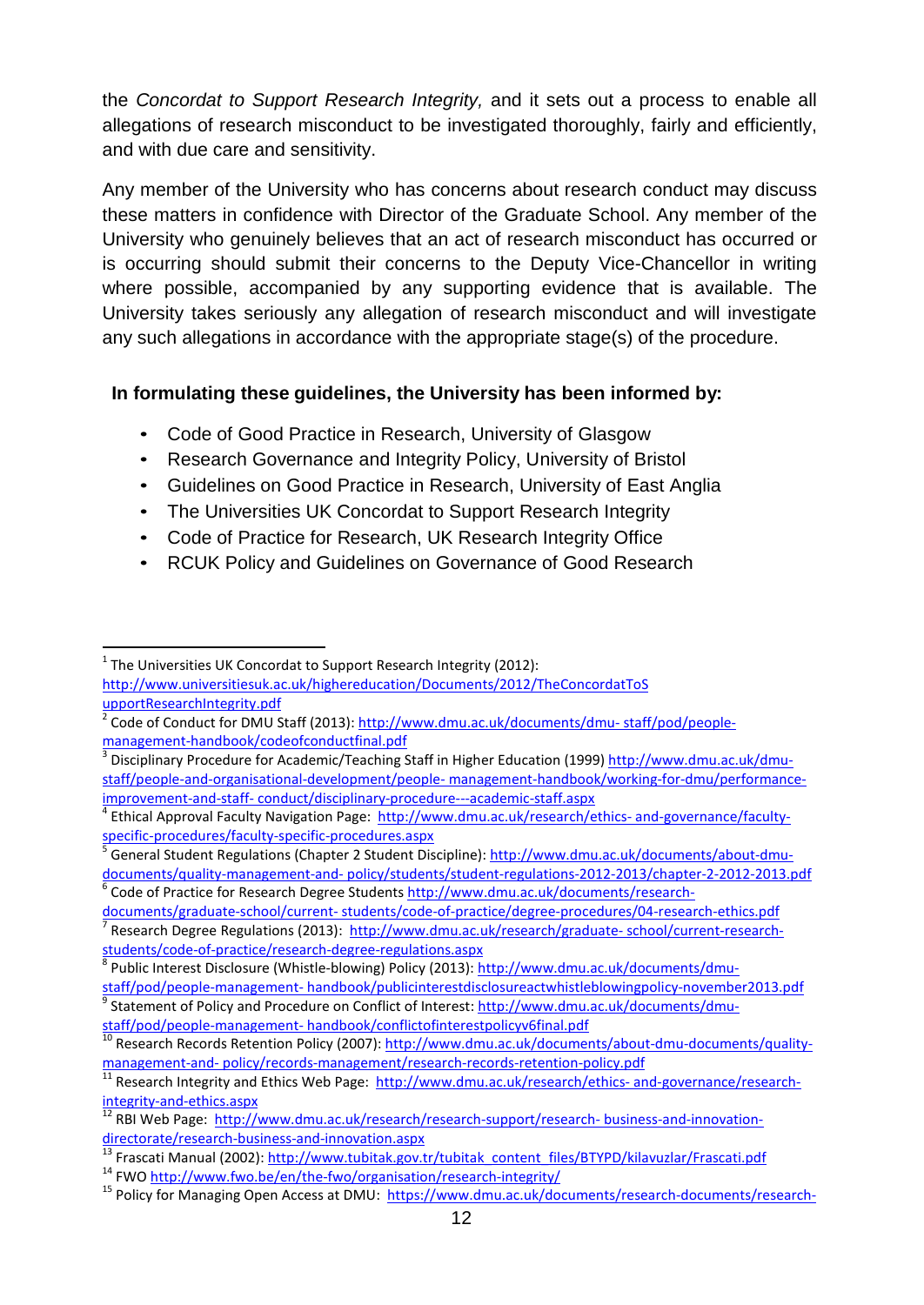the *Concordat to Support Research Integrity,* and it sets out a process to enable all allegations of research misconduct to be investigated thoroughly, fairly and efficiently, and with due care and sensitivity.

Any member of the University who has concerns about research conduct may discuss these matters in confidence with Director of the Graduate School. Any member of the University who genuinely believes that an act of research misconduct has occurred or is occurring should submit their concerns to the Deputy Vice-Chancellor in writing where possible, accompanied by any supporting evidence that is available. The University takes seriously any allegation of research misconduct and will investigate any such allegations in accordance with the appropriate stage(s) of the procedure.

#### **In formulating these guidelines, the University has been informed by:**

- Code of Good Practice in Research, University of Glasgow
- Research Governance and Integrity Policy, University of Bristol
- Guidelines on Good Practice in Research, University of East Anglia
- The Universities UK Concordat to Support Research Integrity
- Code of Practice for Research, UK Research Integrity Office
- RCUK Policy and Guidelines on Governance of Good Research

 $1$  The Universities UK Concordat to Support Research Integrity (2012): [http://www.universitiesuk.ac.uk/highereducation/Documents/2012/TheConcordatToS](http://www.universitiesuk.ac.uk/highereducation/Documents/2012/TheConcordatToS%20upportResearchIntegrity.pdf)  [upportResearchIntegrity.pdf](http://www.universitiesuk.ac.uk/highereducation/Documents/2012/TheConcordatToS%20upportResearchIntegrity.pdf) -

<sup>&</sup>lt;sup>2</sup> Code of Conduct for DMU Staff (2013): [http://www.dmu.ac.uk/documents/dmu-](http://www.dmu.ac.uk/documents/dmu-%20staff/pod/people-management-handbook/codeofconductfinal.pdf) staff/pod/people[management-handbook/codeofconductfinal.pdf](http://www.dmu.ac.uk/documents/dmu-%20staff/pod/people-management-handbook/codeofconductfinal.pdf)<br><sup>3</sup> Disciplinary Procedure for Academic/Teaching Staff in Higher Education (1999[\) http://www.dmu.ac.uk/dmu-](http://www.dmu.ac.uk/dmu-staff/people-and-organisational-development/people-%20management-handbook/working-for-dmu/performance-improvement-and-staff-%20conduct/disciplinary-procedure---academic-staff.aspx)

staff/people-and-organisational-development/people- [management-handbook/working-for-dmu/performance](http://www.dmu.ac.uk/dmu-staff/people-and-organisational-development/people-%20management-handbook/working-for-dmu/performance-improvement-and-staff-%20conduct/disciplinary-procedure---academic-staff.aspx)improvement-and-staff- conduct/disciplinary-procedure---academic-staff.aspx<br><sup>4</sup> Ethical Approval Faculty Navigation Page: [http://www.dmu.ac.uk/research/ethics-](http://www.dmu.ac.uk/research/ethics-%20and-governance/faculty-specific-procedures/faculty-specific-procedures.aspx) and-governance/faculty-

[specific-procedures/faculty-specific-procedures.aspx](http://www.dmu.ac.uk/research/ethics-%20and-governance/faculty-specific-procedures/faculty-specific-procedures.aspx)<br><sup>5</sup> General Student Regulations (Chapter 2 Student Discipline): <u>http://www.dmu.ac.uk/documents/about-dmu-</u>

documents/quality-management-and- [policy/students/student-regulations-2012-2013/chapter-2-2012-2013.pdf](http://www.dmu.ac.uk/documents/about-dmu-documents/quality-management-and-%20policy/students/student-regulations-2012-2013/chapter-2-2012-2013.pdf)<br>
<sup>6</sup> Code of Practice for Research Degree Students http://www.dmu.ac.uk/documents/research-<br>
documents/graduate-school

<sup>&</sup>lt;sup>7</sup> Research Degree Regulations (2013): [http://www.dmu.ac.uk/research/graduate-](http://www.dmu.ac.uk/research/graduate-%20school/current-research-students/code-of-practice/research-degree-regulations.aspx)school/current-research-<br>students/code-of-practice/research-degree-regulations.aspx

<sup>&</sup>lt;sup>8</sup> Public Interest Disclosure (Whistle-blowing) Policy (2013): http://www.dmu.ac.uk/documents/dmu-<br>staff/pod/people-management-handbook/publicinterestdisclosureactwhistleblowingpolicy-november2013.pdf

Statement of Policy and Procedure on Conflict of Interest[: http://www.dmu.ac.uk/documents/dmu-](http://www.dmu.ac.uk/documents/dmu-staff/pod/people-management-%20handbook/conflictofinterestpolicyv6final.pdf)

staff/pod/people-management- [handbook/conflictofinterestpolicyv6final.pdf](http://www.dmu.ac.uk/documents/dmu-staff/pod/people-management-%20handbook/conflictofinterestpolicyv6final.pdf)<br>
<sup>10</sup> Research Records Retention Policy (2007): http://www.dmu.ac.uk/documents/about-dmu-documents/quality-<br>
management-and-policy/records-managemen

 $\frac{1}{11}$  Research Integrity and Ethics Web Page: [http://www.dmu.ac.uk/research/ethics-](http://www.dmu.ac.uk/research/ethics-%20and-governance/research-integrity-and-ethics.aspx) and-governance/research-

[integrity-and-ethics.aspx](http://www.dmu.ac.uk/research/ethics-%20and-governance/research-integrity-and-ethics.aspx)<br><sup>12</sup> RBI Web Page: [http://www.dmu.ac.uk/research/research-support/research-](http://www.dmu.ac.uk/research/research-support/research-%20business-and-innovation-directorate/research-business-and-innovation.aspx) business-and-innovation-<br>directorate/research-business-and-innovation.aspx

<sup>&</sup>lt;sup>13</sup> Frascati Manual (2002): [http://www.tubitak.gov.tr/tubitak\\_content\\_files/BTYPD/kilavuzlar/Frascati.pdf](http://www.tubitak.gov.tr/tubitak_content_files/BTYPD/kilavuzlar/Frascati.pdf)<br><sup>14</sup> FWO<http://www.fwo.be/en/the-fwo/organisation/research-integrity/><br><sup>15</sup> Policy for Managing Open Access at DMU: